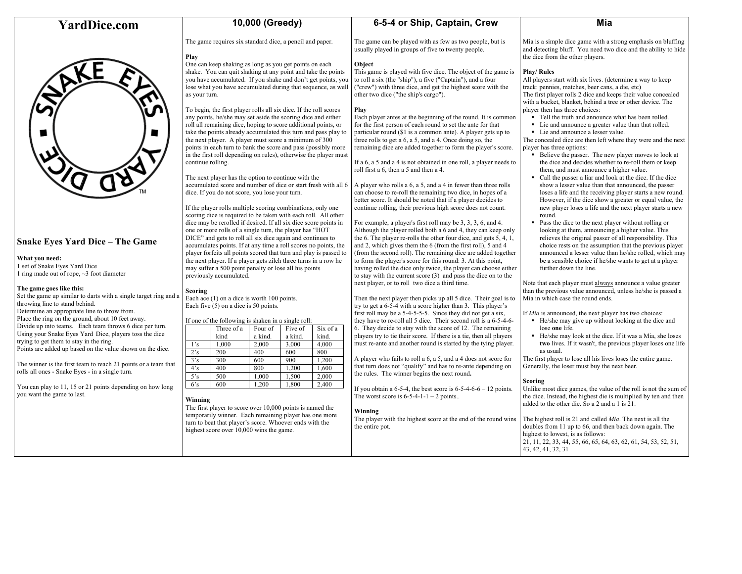# **YardDice.com**



# **Snake Eyes Yard Dice – The Game**

#### **What you need:**

1 set of Snake Eyes Yard Dice 1 ring made out of rope, ~3 foot diameter

#### **The game goes like this:**

Set the game up similar to darts with a single target ring and a throwing line to stand behind. Determine an appropriate line to throw from. Place the ring on the ground, about 10 feet away. Divide up into teams. Each team throws 6 dice per turn. Using your Snake Eyes Yard Dice, players toss the dice trying to get them to stay in the ring. Points are added up based on the value shown on the dice.

The winner is the first team to reach 21 points or a team that rolls all ones - Snake Eyes - in a single turn.

You can play to 11, 15 or 21 points depending on how long you want the game to last.

## **10,000 (Greedy)**

The game requires six standard dice, a pencil and paper.

One can keep shaking as long as you get points on each shake. You can quit shaking at any point and take the points you have accumulated. If you shake and don't get points, you lose what you have accumulated during that sequence, as well

To begin, the first player rolls all six dice. If the roll scores any points, he/she may set aside the scoring dice and either roll all remaining dice, hoping to score additional points, or

the next player. A player must score a minimum of 300

The next player has the option to continue with the accumulated score and number of dice or start fresh with all 6

If the player rolls multiple scoring combinations, only one scoring dice is required to be taken with each roll. All other dice may be rerolled if desired. If all six dice score points in one or more rolls of a single turn, the player has "HOT DICE" and gets to roll all six dice again and continues to accumulates points. If at any time a roll scores no points, the player forfeits all points scored that turn and play is passed to the next player. If a player gets zilch three turns in a row he may suffer a 500 point penalty or lose all his points

dice. If you do not score, you lose your turn.

Each ace (1) on a dice is worth 100 points. Each five (5) on a dice is 50 points.

If one of the following is shaken in a single roll: Three of a kind

Four of a kind.

 $\frac{1}{2}$ 's  $\frac{1,000}{200}$   $\frac{2,000}{400}$   $\frac{3,000}{600}$   $\frac{4,000}{800}$ 2's 200 400 600 800 3's 300 600 900 1,200 4's 400 800 1,200 1,600 5's 500 1,000 1,500 2,000 6's 600 1,200 1,800 2,400

The first player to score over 10,000 points is named the temporarily winner. Each remaining player has one more turn to beat that player's score. Whoever ends with the

highest score over 10,000 wins the game.

Five of a kind.

Six of a kind.

**Play**

as your turn.

continue rolling.

previously accumulated.

**Scoring**

**Winning**

# **6-5-4 or Ship, Captain, Crew**

The game can be played with as few as two people, but is usually played in groups of five to twenty people.

## **Object**

This game is played with five dice. The object of the game is to roll a six (the "ship"), a five ("Captain"), and a four ("crew") with three dice, and get the highest score with the other two dice ("the ship's cargo").

### **Play**

take the points already accumulated this turn and pass play to points in each turn to bank the score and pass (possibly more in the first roll depending on rules), otherwise the player must Each player antes at the beginning of the round. It is common for the first person of each round to set the ante for that particular round (\$1 is a common ante). A player gets up to three rolls to get a 6, a 5, and a 4. Once doing so, the remaining dice are added together to form the player's score.

If a 6, a 5 and a 4 is not obtained in one roll, a player needs to roll first a 6, then a 5 and then a 4.

A player who rolls a 6, a 5, and a 4 in fewer than three rolls can choose to re-roll the remaining two dice, in hopes of a better score. It should be noted that if a player decides to continue rolling, their previous high score does not count.

For example, a player's first roll may be 3, 3, 3, 6, and 4. Although the player rolled both a 6 and 4, they can keep only the 6. The player re-rolls the other four dice, and gets 5, 4, 1, and 2, which gives them the 6 (from the first roll), 5 and 4 (from the second roll). The remaining dice are added together to form the player's score for this round: 3. At this point, having rolled the dice only twice, the player can choose either to stay with the current score (3) and pass the dice on to the next player, or to roll two dice a third time.

Then the next player then picks up all 5 dice. Their goal is to try to get a 6-5-4 with a score higher than 3. This player's first roll may be a 5-4-5-5-5. Since they did not get a six, they have to re-roll all 5 dice. Their second roll is a 6-5-4-6- 6. They decide to stay with the score of 12. The remaining players try to tie their score. If there is a tie, then all players must re-ante and another round is started by the tying player.

A player who fails to roll a 6, a 5, and a 4 does not score for that turn does not "qualify" and has to re-ante depending on the rules. The winner begins the next round**.** 

If you obtain a  $6-5-4$ , the best score is  $6-5-4-6-6-12$  points. The worst score is  $6-5-4-1-1-2$  points...

#### **Winning**

The player with the highest score at the end of the round wins the entire pot.

### **Mia**

Mia is a simple dice game with a strong emphasis on bluffing and detecting bluff. You need two dice and the ability to hide the dice from the other players.

### **Play/ Rules**

All players start with six lives. (determine a way to keep track: pennies, matches, beer cans, a die, etc) The first player rolls 2 dice and keeps their value concealed with a bucket, blanket, behind a tree or other device. The player then has three choices:

- Tell the truth and announce what has been rolled.
- Lie and announce a greater value than that rolled.
- Lie and announce a lesser value.

The concealed dice are then left where they were and the next player has three options:

- Believe the passer. The new player moves to look at the dice and decides whether to re-roll them or keep them, and must announce a higher value.
- Call the passer a liar and look at the dice. If the dice show a lesser value than that announced, the passer loses a life and the receiving player starts a new round. However, if the dice show a greater or equal value, the new player loses a life and the next player starts a new round.
- Pass the dice to the next player without rolling or looking at them, announcing a higher value. This relieves the original passer of all responsibility. This choice rests on the assumption that the previous player announced a lesser value than he/she rolled, which may be a sensible choice if he/she wants to get at a player further down the line.

Note that each player must always announce a value greater than the previous value announced, unless he/she is passed a Mia in which case the round ends.

If *Mia* is announced, the next player has two choices:

- He/she may give up without looking at the dice and lose **one** life.
- He/she may look at the dice. If it was a Mia, she loses **two** lives. If it wasn't, the previous player loses one life as usual.

The first player to lose all his lives loses the entire game. Generally, the loser must buy the next beer.

### **Scoring**

Unlike most dice games, the value of the roll is not the sum of the dice. Instead, the highest die is multiplied by ten and then added to the other die. So a 2 and a 1 is 21.

The highest roll is 21 and called *Mia*. The next is all the doubles from 11 up to 66, and then back down again. The highest to lowest, is as follows: 21, 11, 22, 33, 44, 55, 66, 65, 64, 63, 62, 61, 54, 53, 52, 51, 43, 42, 41, 32, 31